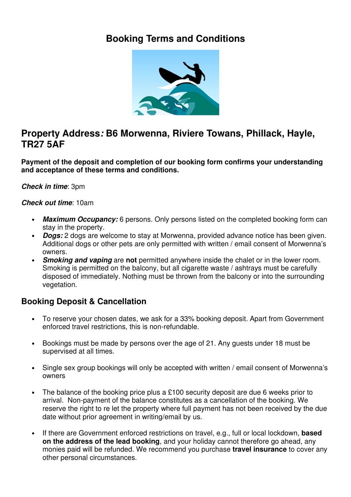# **Booking Terms and Conditions**



## **Property Address: B6 Morwenna, Riviere Towans, Phillack, Hayle, TR27 5AF**

**Payment of the deposit and completion of our booking form confirms your understanding and acceptance of these terms and conditions.**

**Check in time**: 3pm

#### **Check out time**: 10am

- **Maximum Occupancy:** 6 persons. Only persons listed on the completed booking form can stay in the property.
- **Dogs:** 2 dogs are welcome to stay at Morwenna, provided advance notice has been given. Additional dogs or other pets are only permitted with written / email consent of Morwenna's owners.
- **Smoking and vaping** are **not** permitted anywhere inside the chalet or in the lower room. Smoking is permitted on the balcony, but all cigarette waste / ashtrays must be carefully disposed of immediately. Nothing must be thrown from the balcony or into the surrounding vegetation.

#### **Booking Deposit & Cancellation**

- To reserve your chosen dates, we ask for a 33% booking deposit. Apart from Government enforced travel restrictions, this is non-refundable.
- Bookings must be made by persons over the age of 21. Any guests under 18 must be supervised at all times.
- Single sex group bookings will only be accepted with written / email consent of Morwenna's owners
- The balance of the booking price plus a £100 security deposit are due 6 weeks prior to arrival. Non-payment of the balance constitutes as a cancellation of the booking. We reserve the right to re let the property where full payment has not been received by the due date without prior agreement in writing/email by us.
- If there are Government enforced restrictions on travel, e.g., full or local lockdown, **based on the address of the lead booking**, and your holiday cannot therefore go ahead, any monies paid will be refunded. We recommend you purchase **travel insurance** to cover any other personal circumstances.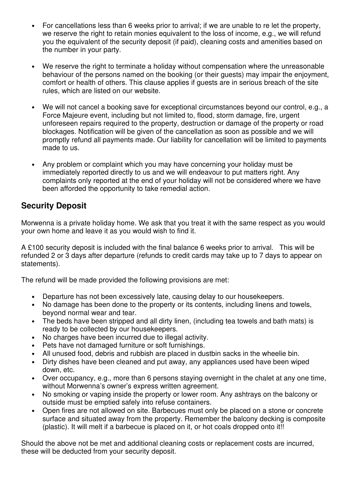- For cancellations less than 6 weeks prior to arrival; if we are unable to re let the property, we reserve the right to retain monies equivalent to the loss of income, e.g., we will refund you the equivalent of the security deposit (if paid), cleaning costs and amenities based on the number in your party.
- We reserve the right to terminate a holiday without compensation where the unreasonable behaviour of the persons named on the booking (or their guests) may impair the enjoyment, comfort or health of others. This clause applies if guests are in serious breach of the site rules, which are listed on our website.
- We will not cancel a booking save for exceptional circumstances beyond our control, e.g., a Force Majeure event, including but not limited to, flood, storm damage, fire, urgent unforeseen repairs required to the property, destruction or damage of the property or road blockages. Notification will be given of the cancellation as soon as possible and we will promptly refund all payments made. Our liability for cancellation will be limited to payments made to us.
- Any problem or complaint which you may have concerning your holiday must be immediately reported directly to us and we will endeavour to put matters right. Any complaints only reported at the end of your holiday will not be considered where we have been afforded the opportunity to take remedial action.

#### **Security Deposit**

Morwenna is a private holiday home. We ask that you treat it with the same respect as you would your own home and leave it as you would wish to find it.

A £100 security deposit is included with the final balance 6 weeks prior to arrival. This will be refunded 2 or 3 days after departure (refunds to credit cards may take up to 7 days to appear on statements).

The refund will be made provided the following provisions are met:

- Departure has not been excessively late, causing delay to our housekeepers.
- No damage has been done to the property or its contents, including linens and towels, beyond normal wear and tear.
- The beds have been stripped and all dirty linen, (including tea towels and bath mats) is ready to be collected by our housekeepers.
- No charges have been incurred due to illegal activity.
- Pets have not damaged furniture or soft furnishings.
- All unused food, debris and rubbish are placed in dustbin sacks in the wheelie bin.
- Dirty dishes have been cleaned and put away, any appliances used have been wiped down, etc.
- Over occupancy, e.g., more than 6 persons staying overnight in the chalet at any one time, without Morwenna's owner's express written agreement.
- No smoking or vaping inside the property or lower room. Any ashtrays on the balcony or outside must be emptied safely into refuse containers.
- Open fires are not allowed on site. Barbecues must only be placed on a stone or concrete surface and situated away from the property. Remember the balcony decking is composite (plastic). It will melt if a barbecue is placed on it, or hot coals dropped onto it!!

Should the above not be met and additional cleaning costs or replacement costs are incurred, these will be deducted from your security deposit.